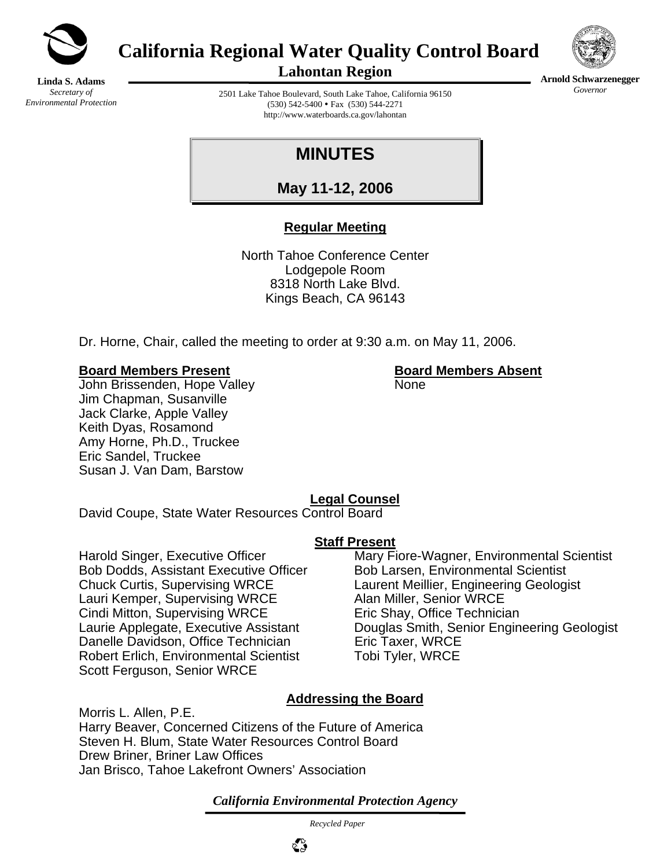

**California Regional Water Quality Control Board** 



**Arnold Schwarzenegger** *Governor* 

**Linda S. Adams**  *Secretary of Environmental Protection*  **Lahontan Region** 

2501 Lake Tahoe Boulevard, South Lake Tahoe, California 96150 (530) 542-5400 • Fax (530) 544-2271 http://www.waterboards.ca.gov/lahontan

# **MINUTES**

**May 11-12, 2006**

# **Regular Meeting**

North Tahoe Conference Center Lodgepole Room 8318 North Lake Blvd. Kings Beach, CA 96143

Dr. Horne, Chair, called the meeting to order at 9:30 a.m. on May 11, 2006.

#### **Board Members Present Board Members Absent**

John Brissenden, Hope Valley None Jim Chapman, Susanville Jack Clarke, Apple Valley Keith Dyas, Rosamond Amy Horne, Ph.D., Truckee Eric Sandel, Truckee Susan J. Van Dam, Barstow

# **Legal Counsel**

David Coupe, State Water Resources Control Board

#### **Staff Present**

Bob Dodds, Assistant Executive Officer Bob Larsen, Environmental Scientist Chuck Curtis, Supervising WRCE Laurent Meillier, Engineering Geologist Lauri Kemper, Supervising WRCE Alan Miller, Senior WRCE Cindi Mitton, Supervising WRCE Eric Shay, Office Technician Danelle Davidson, Office Technician Eric Taxer, WRCE Robert Erlich, Environmental Scientist Tobi Tyler, WRCE Scott Ferguson, Senior WRCE

Harold Singer, Executive Officer Mary Fiore-Wagner, Environmental Scientist Laurie Applegate, Executive Assistant Douglas Smith, Senior Engineering Geologist

# **Addressing the Board**

Morris L. Allen, P.E. Harry Beaver, Concerned Citizens of the Future of America Steven H. Blum, State Water Resources Control Board Drew Briner, Briner Law Offices Jan Brisco, Tahoe Lakefront Owners' Association

*California Environmental Protection Agency*

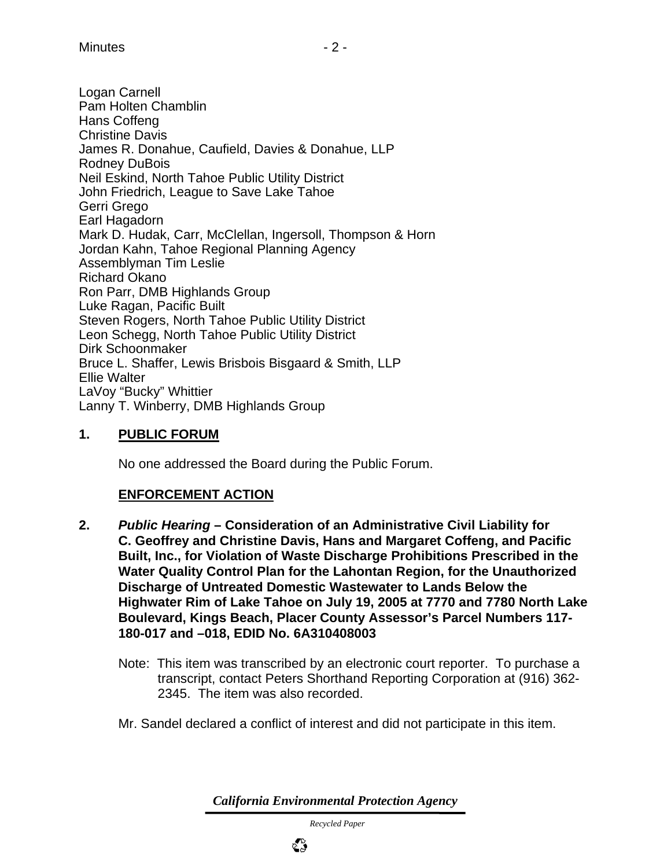Logan Carnell Pam Holten Chamblin Hans Coffeng Christine Davis James R. Donahue, Caufield, Davies & Donahue, LLP Rodney DuBois Neil Eskind, North Tahoe Public Utility District John Friedrich, League to Save Lake Tahoe Gerri Grego Earl Hagadorn Mark D. Hudak, Carr, McClellan, Ingersoll, Thompson & Horn Jordan Kahn, Tahoe Regional Planning Agency Assemblyman Tim Leslie Richard Okano Ron Parr, DMB Highlands Group Luke Ragan, Pacific Built Steven Rogers, North Tahoe Public Utility District Leon Schegg, North Tahoe Public Utility District Dirk Schoonmaker Bruce L. Shaffer, Lewis Brisbois Bisgaard & Smith, LLP Ellie Walter LaVoy "Bucky" Whittier Lanny T. Winberry, DMB Highlands Group

# **1. PUBLIC FORUM**

No one addressed the Board during the Public Forum.

# **ENFORCEMENT ACTION**

- **2.** *Public Hearing* **Consideration of an Administrative Civil Liability for C. Geoffrey and Christine Davis, Hans and Margaret Coffeng, and Pacific Built, Inc., for Violation of Waste Discharge Prohibitions Prescribed in the Water Quality Control Plan for the Lahontan Region, for the Unauthorized Discharge of Untreated Domestic Wastewater to Lands Below the Highwater Rim of Lake Tahoe on July 19, 2005 at 7770 and 7780 North Lake Boulevard, Kings Beach, Placer County Assessor's Parcel Numbers 117- 180-017 and –018, EDID No. 6A310408003** 
	- Note: This item was transcribed by an electronic court reporter. To purchase a transcript, contact Peters Shorthand Reporting Corporation at (916) 362- 2345. The item was also recorded.
	- Mr. Sandel declared a conflict of interest and did not participate in this item.

*California Environmental Protection Agency*

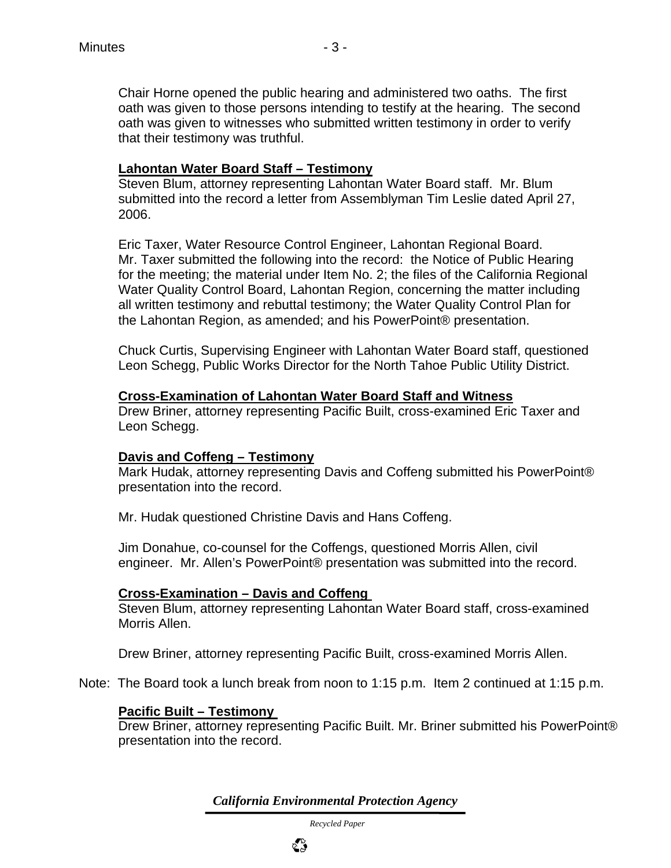Chair Horne opened the public hearing and administered two oaths. The first oath was given to those persons intending to testify at the hearing. The second oath was given to witnesses who submitted written testimony in order to verify that their testimony was truthful.

#### **Lahontan Water Board Staff – Testimony**

Steven Blum, attorney representing Lahontan Water Board staff. Mr. Blum submitted into the record a letter from Assemblyman Tim Leslie dated April 27, 2006.

Eric Taxer, Water Resource Control Engineer, Lahontan Regional Board. Mr. Taxer submitted the following into the record: the Notice of Public Hearing for the meeting; the material under Item No. 2; the files of the California Regional Water Quality Control Board, Lahontan Region, concerning the matter including all written testimony and rebuttal testimony; the Water Quality Control Plan for the Lahontan Region, as amended; and his PowerPoint® presentation.

Chuck Curtis, Supervising Engineer with Lahontan Water Board staff, questioned Leon Schegg, Public Works Director for the North Tahoe Public Utility District.

#### **Cross-Examination of Lahontan Water Board Staff and Witness**

Drew Briner, attorney representing Pacific Built, cross-examined Eric Taxer and Leon Schegg.

#### **Davis and Coffeng – Testimony**

Mark Hudak, attorney representing Davis and Coffeng submitted his PowerPoint® presentation into the record.

Mr. Hudak questioned Christine Davis and Hans Coffeng.

Jim Donahue, co-counsel for the Coffengs, questioned Morris Allen, civil engineer. Mr. Allen's PowerPoint® presentation was submitted into the record.

#### **Cross-Examination – Davis and Coffeng**

Steven Blum, attorney representing Lahontan Water Board staff, cross-examined Morris Allen.

Drew Briner, attorney representing Pacific Built, cross-examined Morris Allen.

Note: The Board took a lunch break from noon to 1:15 p.m. Item 2 continued at 1:15 p.m.

#### **Pacific Built – Testimony**

Drew Briner, attorney representing Pacific Built. Mr. Briner submitted his PowerPoint® presentation into the record.

*California Environmental Protection Agency*

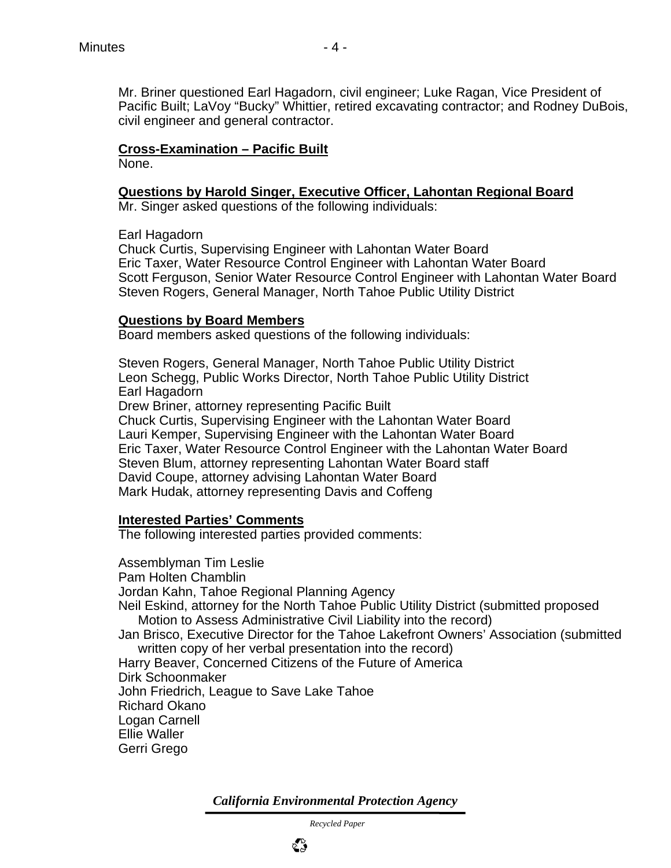# **Cross-Examination – Pacific Built**

None.

#### **Questions by Harold Singer, Executive Officer, Lahontan Regional Board**

Mr. Singer asked questions of the following individuals:

Earl Hagadorn

Chuck Curtis, Supervising Engineer with Lahontan Water Board Eric Taxer, Water Resource Control Engineer with Lahontan Water Board Scott Ferguson, Senior Water Resource Control Engineer with Lahontan Water Board Steven Rogers, General Manager, North Tahoe Public Utility District

#### **Questions by Board Members**

Board members asked questions of the following individuals:

Steven Rogers, General Manager, North Tahoe Public Utility District Leon Schegg, Public Works Director, North Tahoe Public Utility District Earl Hagadorn

Drew Briner, attorney representing Pacific Built

Chuck Curtis, Supervising Engineer with the Lahontan Water Board Lauri Kemper, Supervising Engineer with the Lahontan Water Board Eric Taxer, Water Resource Control Engineer with the Lahontan Water Board Steven Blum, attorney representing Lahontan Water Board staff David Coupe, attorney advising Lahontan Water Board Mark Hudak, attorney representing Davis and Coffeng

#### **Interested Parties' Comments**

The following interested parties provided comments:

Assemblyman Tim Leslie Pam Holten Chamblin Jordan Kahn, Tahoe Regional Planning Agency Neil Eskind, attorney for the North Tahoe Public Utility District (submitted proposed Motion to Assess Administrative Civil Liability into the record) Jan Brisco, Executive Director for the Tahoe Lakefront Owners' Association (submitted written copy of her verbal presentation into the record) Harry Beaver, Concerned Citizens of the Future of America Dirk Schoonmaker John Friedrich, League to Save Lake Tahoe Richard Okano Logan Carnell Ellie Waller Gerri Grego

*California Environmental Protection Agency*

 *Recycled Paper*

ళిప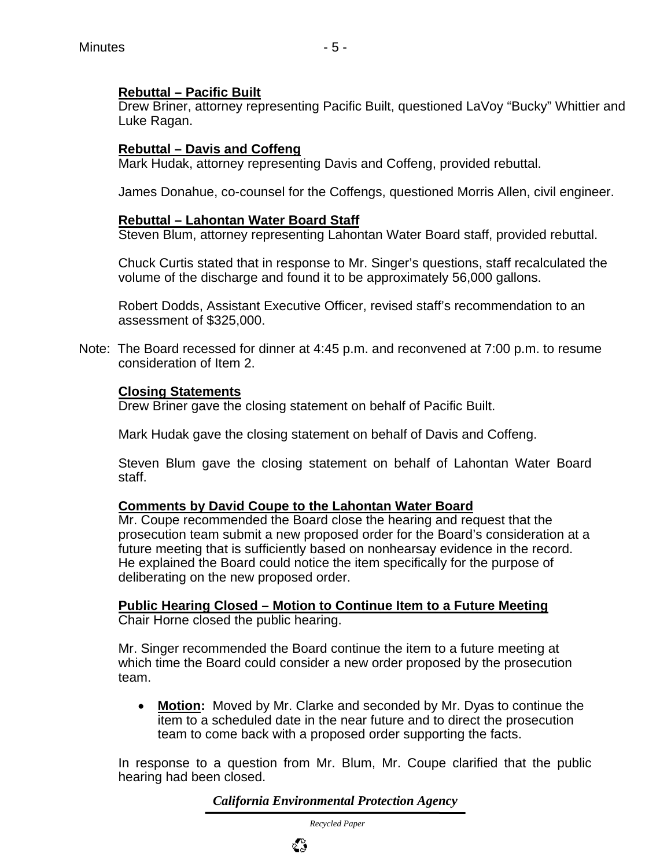#### **Rebuttal – Pacific Built**

Drew Briner, attorney representing Pacific Built, questioned LaVoy "Bucky" Whittier and Luke Ragan.

#### **Rebuttal – Davis and Coffeng**

Mark Hudak, attorney representing Davis and Coffeng, provided rebuttal.

James Donahue, co-counsel for the Coffengs, questioned Morris Allen, civil engineer.

#### **Rebuttal – Lahontan Water Board Staff**

Steven Blum, attorney representing Lahontan Water Board staff, provided rebuttal.

Chuck Curtis stated that in response to Mr. Singer's questions, staff recalculated the volume of the discharge and found it to be approximately 56,000 gallons.

Robert Dodds, Assistant Executive Officer, revised staff's recommendation to an assessment of \$325,000.

Note: The Board recessed for dinner at 4:45 p.m. and reconvened at 7:00 p.m. to resume consideration of Item 2.

#### **Closing Statements**

Drew Briner gave the closing statement on behalf of Pacific Built.

Mark Hudak gave the closing statement on behalf of Davis and Coffeng.

Steven Blum gave the closing statement on behalf of Lahontan Water Board staff.

#### **Comments by David Coupe to the Lahontan Water Board**

Mr. Coupe recommended the Board close the hearing and request that the prosecution team submit a new proposed order for the Board's consideration at a future meeting that is sufficiently based on nonhearsay evidence in the record. He explained the Board could notice the item specifically for the purpose of deliberating on the new proposed order.

**Public Hearing Closed – Motion to Continue Item to a Future Meeting** Chair Horne closed the public hearing.

Mr. Singer recommended the Board continue the item to a future meeting at which time the Board could consider a new order proposed by the prosecution team.

• **Motion:** Moved by Mr. Clarke and seconded by Mr. Dyas to continue the item to a scheduled date in the near future and to direct the prosecution team to come back with a proposed order supporting the facts.

In response to a question from Mr. Blum, Mr. Coupe clarified that the public hearing had been closed.

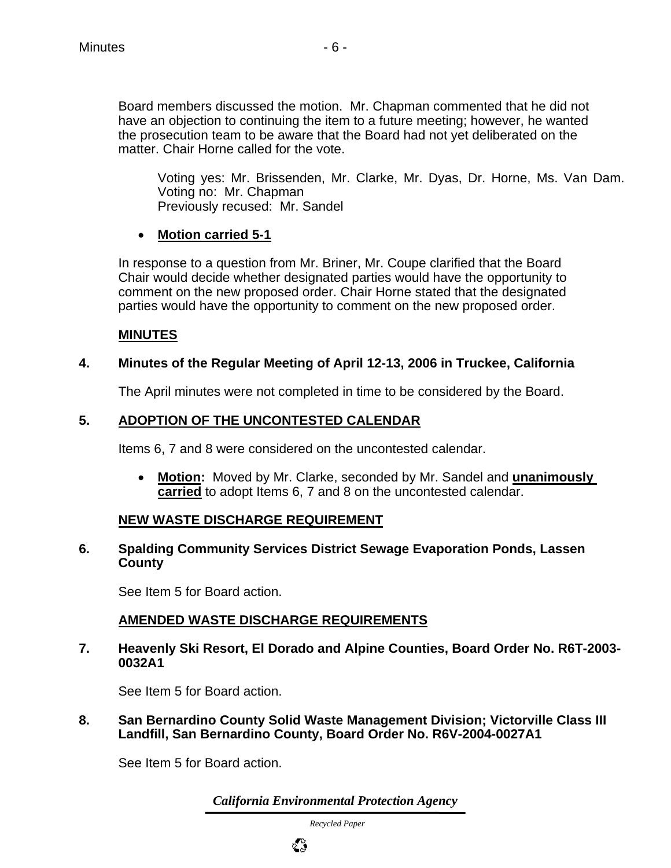Board members discussed the motion. Mr. Chapman commented that he did not have an objection to continuing the item to a future meeting; however, he wanted the prosecution team to be aware that the Board had not yet deliberated on the matter. Chair Horne called for the vote.

Voting yes: Mr. Brissenden, Mr. Clarke, Mr. Dyas, Dr. Horne, Ms. Van Dam. Voting no: Mr. Chapman Previously recused: Mr. Sandel

#### • **Motion carried 5-1**

In response to a question from Mr. Briner, Mr. Coupe clarified that the Board Chair would decide whether designated parties would have the opportunity to comment on the new proposed order. Chair Horne stated that the designated parties would have the opportunity to comment on the new proposed order.

#### **MINUTES**

#### **4. Minutes of the Regular Meeting of April 12-13, 2006 in Truckee, California**

The April minutes were not completed in time to be considered by the Board.

#### **5. ADOPTION OF THE UNCONTESTED CALENDAR**

Items 6, 7 and 8 were considered on the uncontested calendar.

• **Motion:** Moved by Mr. Clarke, seconded by Mr. Sandel and **unanimously carried** to adopt Items 6, 7 and 8 on the uncontested calendar.

#### **NEW WASTE DISCHARGE REQUIREMENT**

#### **6. Spalding Community Services District Sewage Evaporation Ponds, Lassen County**

See Item 5 for Board action.

# **AMENDED WASTE DISCHARGE REQUIREMENTS**

**7. Heavenly Ski Resort, El Dorado and Alpine Counties, Board Order No. R6T-2003- 0032A1**

See Item 5 for Board action.

**8. San Bernardino County Solid Waste Management Division; Victorville Class III Landfill, San Bernardino County, Board Order No. R6V-2004-0027A1** 

See Item 5 for Board action.

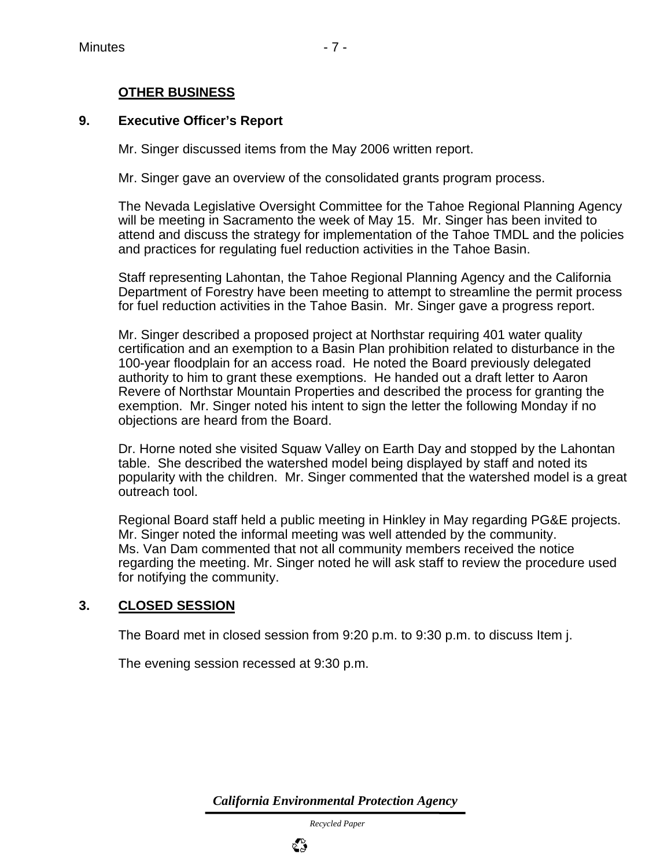#### **OTHER BUSINESS**

#### **9. Executive Officer's Report**

Mr. Singer discussed items from the May 2006 written report.

Mr. Singer gave an overview of the consolidated grants program process.

The Nevada Legislative Oversight Committee for the Tahoe Regional Planning Agency will be meeting in Sacramento the week of May 15. Mr. Singer has been invited to attend and discuss the strategy for implementation of the Tahoe TMDL and the policies and practices for regulating fuel reduction activities in the Tahoe Basin.

Staff representing Lahontan, the Tahoe Regional Planning Agency and the California Department of Forestry have been meeting to attempt to streamline the permit process for fuel reduction activities in the Tahoe Basin. Mr. Singer gave a progress report.

Mr. Singer described a proposed project at Northstar requiring 401 water quality certification and an exemption to a Basin Plan prohibition related to disturbance in the 100-year floodplain for an access road. He noted the Board previously delegated authority to him to grant these exemptions. He handed out a draft letter to Aaron Revere of Northstar Mountain Properties and described the process for granting the exemption. Mr. Singer noted his intent to sign the letter the following Monday if no objections are heard from the Board.

Dr. Horne noted she visited Squaw Valley on Earth Day and stopped by the Lahontan table. She described the watershed model being displayed by staff and noted its popularity with the children. Mr. Singer commented that the watershed model is a great outreach tool.

Regional Board staff held a public meeting in Hinkley in May regarding PG&E projects. Mr. Singer noted the informal meeting was well attended by the community. Ms. Van Dam commented that not all community members received the notice regarding the meeting. Mr. Singer noted he will ask staff to review the procedure used for notifying the community.

#### **3. CLOSED SESSION**

The Board met in closed session from 9:20 p.m. to 9:30 p.m. to discuss Item j.

The evening session recessed at 9:30 p.m.

*California Environmental Protection Agency*

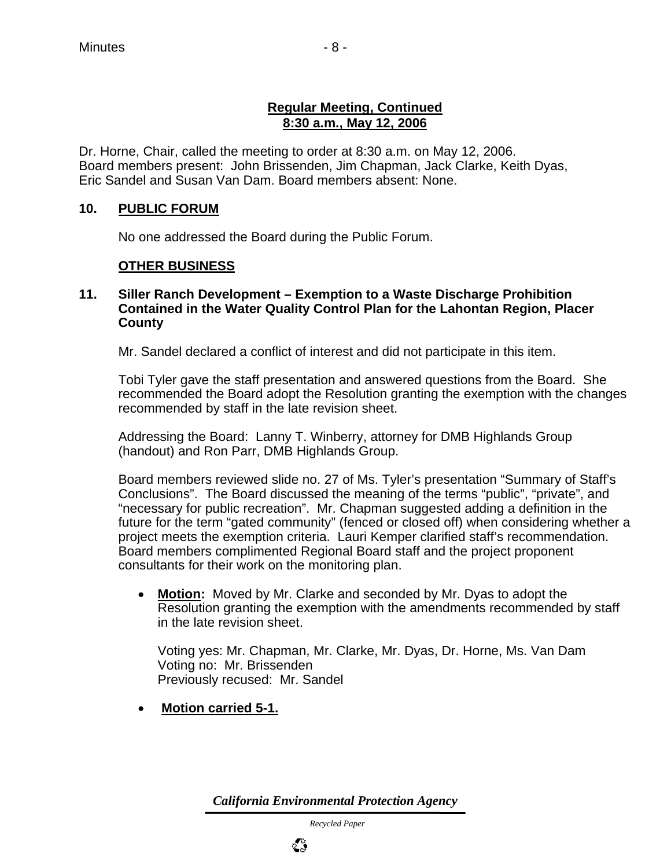#### **Regular Meeting, Continued 8:30 a.m., May 12, 2006**

Dr. Horne, Chair, called the meeting to order at 8:30 a.m. on May 12, 2006. Board members present: John Brissenden, Jim Chapman, Jack Clarke, Keith Dyas, Eric Sandel and Susan Van Dam. Board members absent: None.

# **10. PUBLIC FORUM**

No one addressed the Board during the Public Forum.

# **OTHER BUSINESS**

#### **11. Siller Ranch Development – Exemption to a Waste Discharge Prohibition Contained in the Water Quality Control Plan for the Lahontan Region, Placer County**

Mr. Sandel declared a conflict of interest and did not participate in this item.

Tobi Tyler gave the staff presentation and answered questions from the Board. She recommended the Board adopt the Resolution granting the exemption with the changes recommended by staff in the late revision sheet.

Addressing the Board: Lanny T. Winberry, attorney for DMB Highlands Group (handout) and Ron Parr, DMB Highlands Group.

Board members reviewed slide no. 27 of Ms. Tyler's presentation "Summary of Staff's Conclusions". The Board discussed the meaning of the terms "public", "private", and "necessary for public recreation". Mr. Chapman suggested adding a definition in the future for the term "gated community" (fenced or closed off) when considering whether a project meets the exemption criteria. Lauri Kemper clarified staff's recommendation. Board members complimented Regional Board staff and the project proponent consultants for their work on the monitoring plan.

• **Motion:** Moved by Mr. Clarke and seconded by Mr. Dyas to adopt the Resolution granting the exemption with the amendments recommended by staff in the late revision sheet.

Voting yes: Mr. Chapman, Mr. Clarke, Mr. Dyas, Dr. Horne, Ms. Van Dam Voting no: Mr. Brissenden Previously recused: Mr. Sandel

• **Motion carried 5-1.**